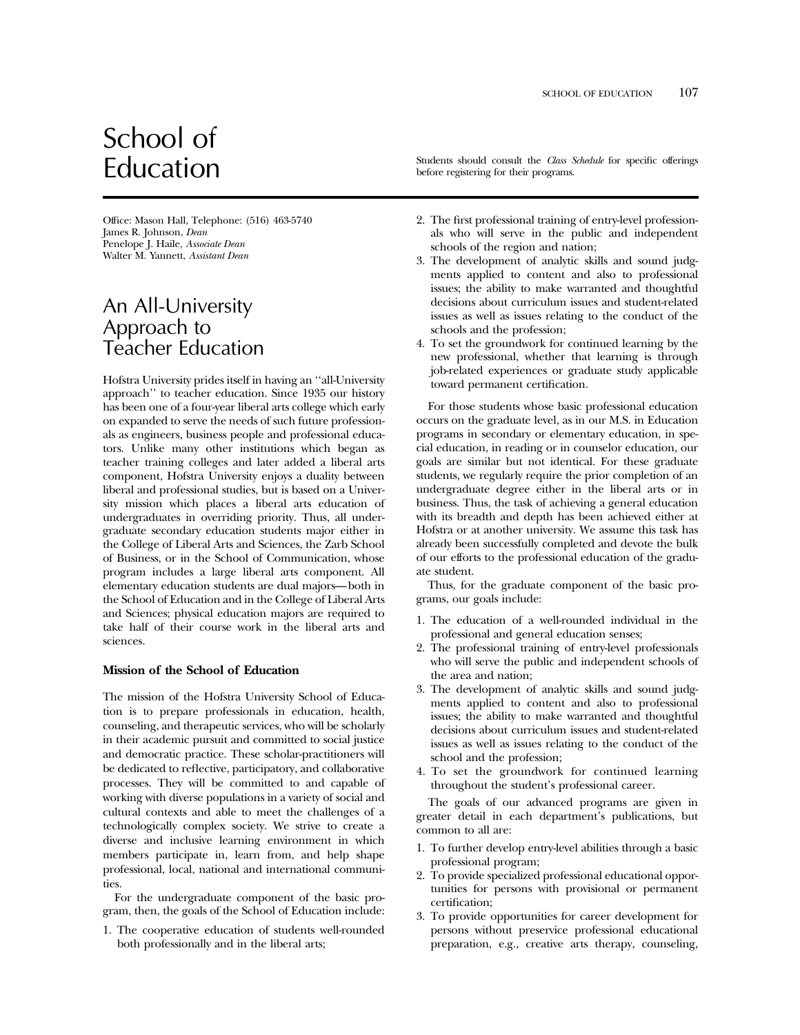# School of

Office: Mason Hall, Telephone: (516) 463-5740 James R. Johnson, *Dean* Penelope J. Haile, *Associate Dean* Walter M. Yannett, *Assistant Dean*

# An All-University Approach to Teacher Education

Hofstra University prides itself in having an ''all-University approach'' to teacher education. Since 1935 our history has been one of a four-year liberal arts college which early on expanded to serve the needs of such future professionals as engineers, business people and professional educators. Unlike many other institutions which began as teacher training colleges and later added a liberal arts component, Hofstra University enjoys a duality between liberal and professional studies, but is based on a University mission which places a liberal arts education of undergraduates in overriding priority. Thus, all undergraduate secondary education students major either in the College of Liberal Arts and Sciences, the Zarb School of Business, or in the School of Communication, whose program includes a large liberal arts component. All elementary education students are dual majors—both in the School of Education and in the College of Liberal Arts and Sciences; physical education majors are required to take half of their course work in the liberal arts and sciences.

#### **Mission of the School of Education**

The mission of the Hofstra University School of Education is to prepare professionals in education, health, counseling, and therapeutic services, who will be scholarly in their academic pursuit and committed to social justice and democratic practice. These scholar-practitioners will be dedicated to reflective, participatory, and collaborative processes. They will be committed to and capable of working with diverse populations in a variety of social and cultural contexts and able to meet the challenges of a technologically complex society. We strive to create a diverse and inclusive learning environment in which members participate in, learn from, and help shape professional, local, national and international communities.

For the undergraduate component of the basic program, then, the goals of the School of Education include:

1. The cooperative education of students well-rounded both professionally and in the liberal arts;

Education Students should consult the *Class Schedule* for specific offerings<br>before registering for their programs. before registering for their programs.

- 2. The first professional training of entry-level professionals who will serve in the public and independent schools of the region and nation;
- 3. The development of analytic skills and sound judgments applied to content and also to professional issues; the ability to make warranted and thoughtful decisions about curriculum issues and student-related issues as well as issues relating to the conduct of the schools and the profession;
- 4. To set the groundwork for continued learning by the new professional, whether that learning is through job-related experiences or graduate study applicable toward permanent certification.

For those students whose basic professional education occurs on the graduate level, as in our M.S. in Education programs in secondary or elementary education, in special education, in reading or in counselor education, our goals are similar but not identical. For these graduate students, we regularly require the prior completion of an undergraduate degree either in the liberal arts or in business. Thus, the task of achieving a general education with its breadth and depth has been achieved either at Hofstra or at another university. We assume this task has already been successfully completed and devote the bulk of our efforts to the professional education of the graduate student.

Thus, for the graduate component of the basic programs, our goals include:

- 1. The education of a well-rounded individual in the professional and general education senses;
- 2. The professional training of entry-level professionals who will serve the public and independent schools of the area and nation;
- 3. The development of analytic skills and sound judgments applied to content and also to professional issues; the ability to make warranted and thoughtful decisions about curriculum issues and student-related issues as well as issues relating to the conduct of the school and the profession;
- 4. To set the groundwork for continued learning throughout the student's professional career.

The goals of our advanced programs are given in greater detail in each department's publications, but common to all are:

- 1. To further develop entry-level abilities through a basic professional program;
- 2. To provide specialized professional educational opportunities for persons with provisional or permanent certification;
- 3. To provide opportunities for career development for persons without preservice professional educational preparation, e.g., creative arts therapy, counseling,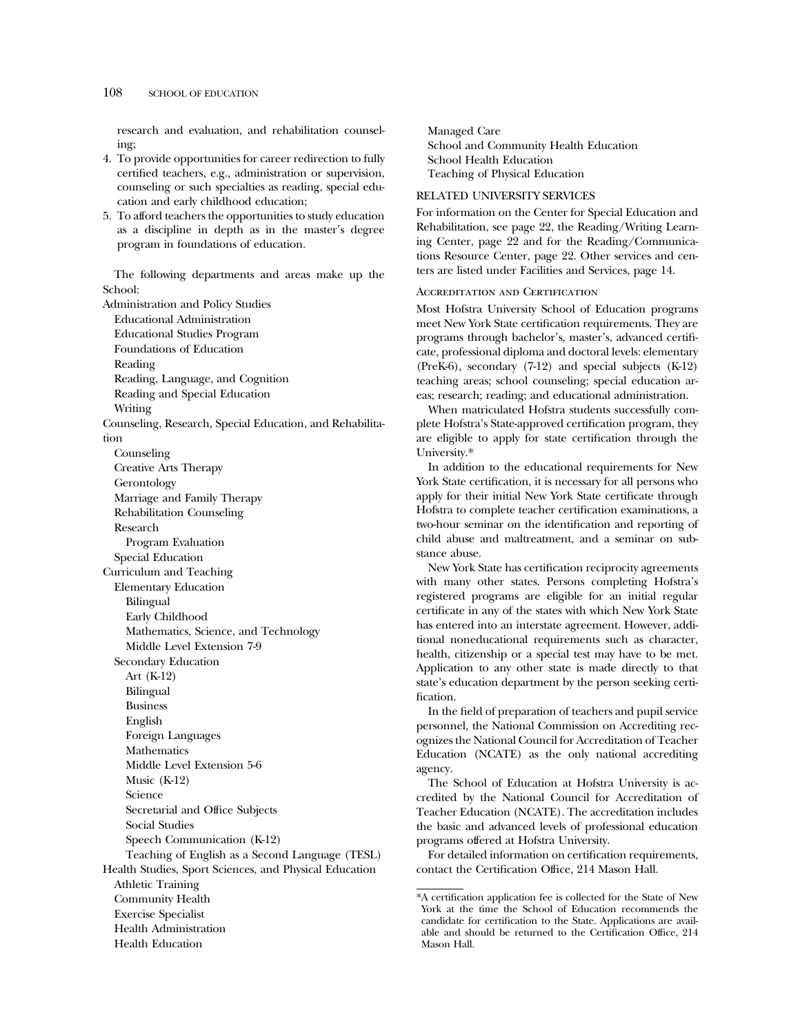research and evaluation, and rehabilitation counseling;

- 4. To provide opportunities for career redirection to fully certified teachers, e.g., administration or supervision, counseling or such specialties as reading, special education and early childhood education;
- 5. To afford teachers the opportunities to study education as a discipline in depth as in the master's degree program in foundations of education.

The following departments and areas make up the School:

Administration and Policy Studies Educational Administration Educational Studies Program Foundations of Education Reading Reading, Language, and Cognition Reading and Special Education Writing Counseling, Research, Special Education, and Rehabilitation Counseling Creative Arts Therapy Gerontology Marriage and Family Therapy Rehabilitation Counseling Research Program Evaluation Special Education Curriculum and Teaching Elementary Education Bilingual Early Childhood Mathematics, Science, and Technology Middle Level Extension 7-9 Secondary Education Art (K-12) Bilingual Business English Foreign Languages Mathematics Middle Level Extension 5-6 Music (K-12) Science Secretarial and Office Subjects Social Studies Speech Communication (K-12) Teaching of English as a Second Language (TESL) Health Studies, Sport Sciences, and Physical Education Athletic Training Community Health Exercise Specialist Health Administration

Health Education

Managed Care School and Community Health Education School Health Education Teaching of Physical Education

#### RELATED UNIVERSITY SERVICES

For information on the Center for Special Education and Rehabilitation, see page 22, the Reading/Writing Learning Center, page 22 and for the Reading/Communications Resource Center, page 22. Other services and centers are listed under Facilities and Services, page 14.

#### Accreditation and Certification

Most Hofstra University School of Education programs meet New York State certification requirements. They are programs through bachelor's, master's, advanced certificate, professional diploma and doctoral levels: elementary (PreK-6), secondary (7-12) and special subjects (K-12) teaching areas; school counseling; special education areas; research; reading; and educational administration.

When matriculated Hofstra students successfully complete Hofstra's State-approved certification program, they are eligible to apply for state certification through the University.\*

In addition to the educational requirements for New York State certification, it is necessary for all persons who apply for their initial New York State certificate through Hofstra to complete teacher certification examinations, a two-hour seminar on the identification and reporting of child abuse and maltreatment, and a seminar on substance abuse.

New York State has certification reciprocity agreements with many other states. Persons completing Hofstra's registered programs are eligible for an initial regular certificate in any of the states with which New York State has entered into an interstate agreement. However, additional noneducational requirements such as character, health, citizenship or a special test may have to be met. Application to any other state is made directly to that state's education department by the person seeking certification.

In the field of preparation of teachers and pupil service personnel, the National Commission on Accrediting recognizes the National Council for Accreditation of Teacher Education (NCATE) as the only national accrediting agency.

The School of Education at Hofstra University is accredited by the National Council for Accreditation of Teacher Education (NCATE). The accreditation includes the basic and advanced levels of professional education programs offered at Hofstra University.

For detailed information on certification requirements, contact the Certification Office, 214 Mason Hall.

<sup>\*</sup>A certification application fee is collected for the State of New York at the time the School of Education recommends the candidate for certification to the State. Applications are available and should be returned to the Certification Office, 214 Mason Hall.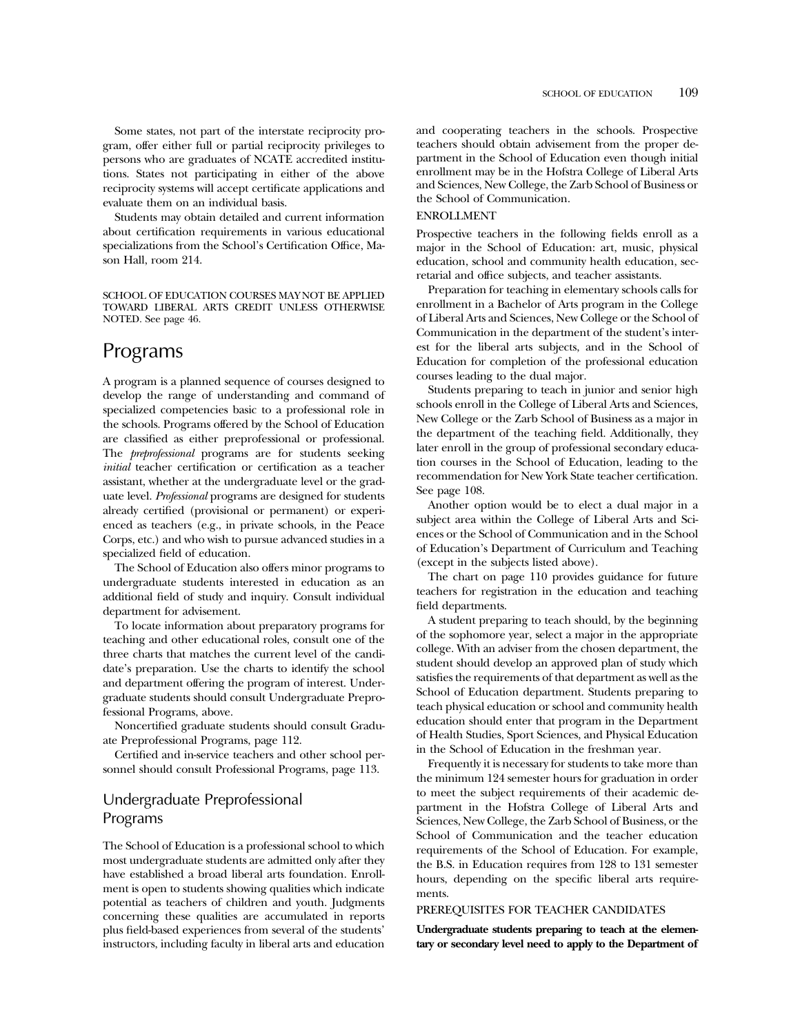Some states, not part of the interstate reciprocity program, offer either full or partial reciprocity privileges to persons who are graduates of NCATE accredited institutions. States not participating in either of the above reciprocity systems will accept certificate applications and evaluate them on an individual basis.

Students may obtain detailed and current information about certification requirements in various educational specializations from the School's Certification Office, Mason Hall, room 214.

SCHOOL OF EDUCATION COURSES MAY NOT BE APPLIED TOWARD LIBERAL ARTS CREDIT UNLESS OTHERWISE NOTED. See page 46.

## Programs

A program is a planned sequence of courses designed to develop the range of understanding and command of specialized competencies basic to a professional role in the schools. Programs offered by the School of Education are classified as either preprofessional or professional. The *preprofessional* programs are for students seeking *initial* teacher certification or certification as a teacher assistant, whether at the undergraduate level or the graduate level. *Professional* programs are designed for students already certified (provisional or permanent) or experienced as teachers (e.g., in private schools, in the Peace Corps, etc.) and who wish to pursue advanced studies in a specialized field of education.

The School of Education also offers minor programs to undergraduate students interested in education as an additional field of study and inquiry. Consult individual department for advisement.

To locate information about preparatory programs for teaching and other educational roles, consult one of the three charts that matches the current level of the candidate's preparation. Use the charts to identify the school and department offering the program of interest. Undergraduate students should consult Undergraduate Preprofessional Programs, above.

Noncertified graduate students should consult Graduate Preprofessional Programs, page 112.

Certified and in-service teachers and other school personnel should consult Professional Programs, page 113.

## Undergraduate Preprofessional Programs

The School of Education is a professional school to which most undergraduate students are admitted only after they have established a broad liberal arts foundation. Enrollment is open to students showing qualities which indicate potential as teachers of children and youth. Judgments concerning these qualities are accumulated in reports plus field-based experiences from several of the students' instructors, including faculty in liberal arts and education and cooperating teachers in the schools. Prospective teachers should obtain advisement from the proper department in the School of Education even though initial enrollment may be in the Hofstra College of Liberal Arts and Sciences, New College, the Zarb School of Business or the School of Communication.

#### ENROLLMENT

Prospective teachers in the following fields enroll as a major in the School of Education: art, music, physical education, school and community health education, secretarial and office subjects, and teacher assistants.

Preparation for teaching in elementary schools calls for enrollment in a Bachelor of Arts program in the College of Liberal Arts and Sciences, New College or the School of Communication in the department of the student's interest for the liberal arts subjects, and in the School of Education for completion of the professional education courses leading to the dual major.

Students preparing to teach in junior and senior high schools enroll in the College of Liberal Arts and Sciences, New College or the Zarb School of Business as a major in the department of the teaching field. Additionally, they later enroll in the group of professional secondary education courses in the School of Education, leading to the recommendation for New York State teacher certification. See page 108.

Another option would be to elect a dual major in a subject area within the College of Liberal Arts and Sciences or the School of Communication and in the School of Education's Department of Curriculum and Teaching (except in the subjects listed above).

The chart on page 110 provides guidance for future teachers for registration in the education and teaching field departments.

A student preparing to teach should, by the beginning of the sophomore year, select a major in the appropriate college. With an adviser from the chosen department, the student should develop an approved plan of study which satisfies the requirements of that department as well as the School of Education department. Students preparing to teach physical education or school and community health education should enter that program in the Department of Health Studies, Sport Sciences, and Physical Education in the School of Education in the freshman year.

Frequently it is necessary for students to take more than the minimum 124 semester hours for graduation in order to meet the subject requirements of their academic department in the Hofstra College of Liberal Arts and Sciences, New College, the Zarb School of Business, or the School of Communication and the teacher education requirements of the School of Education. For example, the B.S. in Education requires from 128 to 131 semester hours, depending on the specific liberal arts requirements.

#### PREREQUISITES FOR TEACHER CANDIDATES

**Undergraduate students preparing to teach at the elementary or secondary level need to apply to the Department of**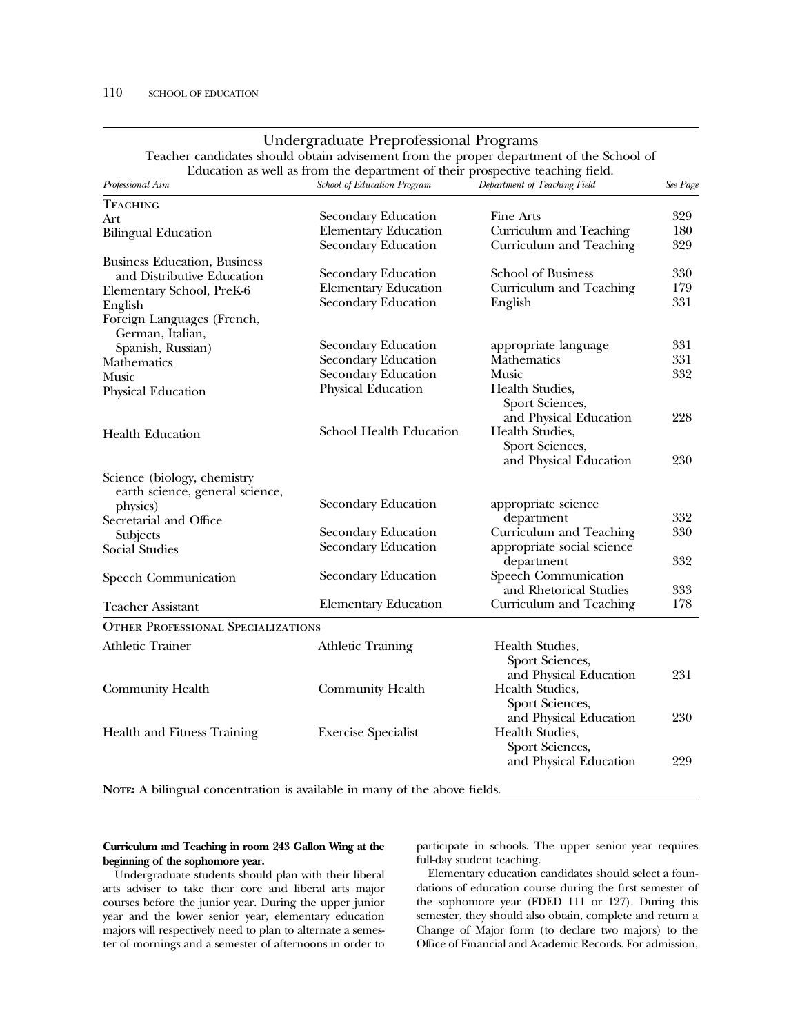| Education as well as from the department of their prospective teaching field. |                             |                                    |          |  |
|-------------------------------------------------------------------------------|-----------------------------|------------------------------------|----------|--|
| Professional Aim                                                              | School of Education Program | Department of Teaching Field       | See Page |  |
| Teaching                                                                      |                             |                                    |          |  |
| Art                                                                           | Secondary Education         | Fine Arts                          | 329      |  |
| <b>Bilingual Education</b>                                                    | <b>Elementary Education</b> | Curriculum and Teaching            | 180      |  |
|                                                                               | Secondary Education         | Curriculum and Teaching            | 329      |  |
| <b>Business Education</b> , Business                                          |                             |                                    |          |  |
| and Distributive Education                                                    | Secondary Education         | <b>School of Business</b>          | 330      |  |
| Elementary School, PreK-6                                                     | <b>Elementary Education</b> | Curriculum and Teaching            | 179      |  |
| English                                                                       | Secondary Education         | English                            | 331      |  |
| Foreign Languages (French,                                                    |                             |                                    |          |  |
| German, Italian,                                                              |                             |                                    |          |  |
| Spanish, Russian)                                                             | Secondary Education         | appropriate language               | 331      |  |
| Mathematics                                                                   | Secondary Education         | Mathematics                        | 331      |  |
| Music                                                                         | Secondary Education         | Music                              | 332      |  |
| Physical Education                                                            | Physical Education          | Health Studies,<br>Sport Sciences, |          |  |
|                                                                               |                             | and Physical Education             | 228      |  |
| <b>Health Education</b>                                                       | School Health Education     | Health Studies,<br>Sport Sciences, |          |  |
|                                                                               |                             | and Physical Education             | 230      |  |
| Science (biology, chemistry                                                   |                             |                                    |          |  |
| earth science, general science,                                               |                             |                                    |          |  |
| physics)                                                                      | Secondary Education         | appropriate science                |          |  |
| Secretarial and Office                                                        |                             | department                         | 332      |  |
| Subjects                                                                      | Secondary Education         | Curriculum and Teaching            | 330      |  |
| <b>Social Studies</b>                                                         | Secondary Education         | appropriate social science         |          |  |
|                                                                               |                             | department                         | 332      |  |
| Speech Communication                                                          | Secondary Education         | Speech Communication               |          |  |
|                                                                               |                             | and Rhetorical Studies             | 333      |  |
| <b>Teacher Assistant</b>                                                      | <b>Elementary Education</b> | Curriculum and Teaching            | 178      |  |
| <b>OTHER PROFESSIONAL SPECIALIZATIONS</b>                                     |                             |                                    |          |  |
| <b>Athletic Trainer</b>                                                       | <b>Athletic Training</b>    | Health Studies,                    |          |  |
|                                                                               |                             | Sport Sciences,                    |          |  |
|                                                                               |                             | and Physical Education             | 231      |  |
| Community Health                                                              | Community Health            | Health Studies,                    |          |  |
|                                                                               |                             | Sport Sciences,                    |          |  |
|                                                                               |                             | and Physical Education             | 230      |  |
| Health and Fitness Training                                                   | <b>Exercise Specialist</b>  | Health Studies,                    |          |  |
|                                                                               |                             | Sport Sciences,                    |          |  |
|                                                                               |                             | and Physical Education             | 229      |  |
|                                                                               |                             |                                    |          |  |

Undergraduate Preprofessional Programs

Teacher candidates should obtain advisement from the proper department of the School of

**NOTE:** A bilingual concentration is available in many of the above fields.

#### **Curriculum and Teaching in room 243 Gallon Wing at the beginning of the sophomore year.**

Undergraduate students should plan with their liberal arts adviser to take their core and liberal arts major courses before the junior year. During the upper junior year and the lower senior year, elementary education majors will respectively need to plan to alternate a semester of mornings and a semester of afternoons in order to

participate in schools. The upper senior year requires full-day student teaching.

Elementary education candidates should select a foundations of education course during the first semester of the sophomore year (FDED 111 or 127). During this semester, they should also obtain, complete and return a Change of Major form (to declare two majors) to the Office of Financial and Academic Records. For admission,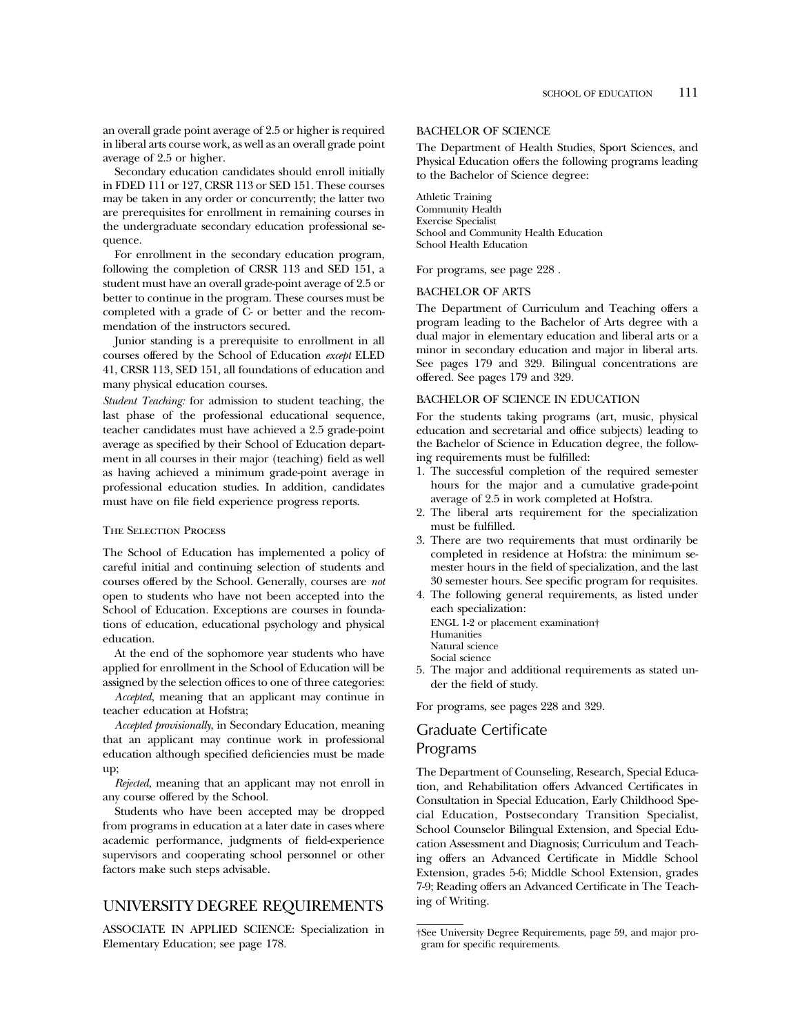an overall grade point average of 2.5 or higher is required in liberal arts course work, as well as an overall grade point average of 2.5 or higher.

Secondary education candidates should enroll initially in FDED 111 or 127, CRSR 113 or SED 151. These courses may be taken in any order or concurrently; the latter two are prerequisites for enrollment in remaining courses in the undergraduate secondary education professional sequence.

For enrollment in the secondary education program, following the completion of CRSR 113 and SED 151, a student must have an overall grade-point average of 2.5 or better to continue in the program. These courses must be completed with a grade of C- or better and the recommendation of the instructors secured.

Junior standing is a prerequisite to enrollment in all courses offered by the School of Education *except* ELED 41, CRSR 113, SED 151, all foundations of education and many physical education courses.

*Student Teaching:* for admission to student teaching, the last phase of the professional educational sequence, teacher candidates must have achieved a 2.5 grade-point average as specified by their School of Education department in all courses in their major (teaching) field as well as having achieved a minimum grade-point average in professional education studies. In addition, candidates must have on file field experience progress reports.

#### The Selection Process

The School of Education has implemented a policy of careful initial and continuing selection of students and courses offered by the School. Generally, courses are *not* open to students who have not been accepted into the School of Education. Exceptions are courses in foundations of education, educational psychology and physical education.

At the end of the sophomore year students who have applied for enrollment in the School of Education will be assigned by the selection offices to one of three categories:

*Accepted*, meaning that an applicant may continue in teacher education at Hofstra;

*Accepted provisionally*, in Secondary Education, meaning that an applicant may continue work in professional education although specified deficiencies must be made up;

*Rejected*, meaning that an applicant may not enroll in any course offered by the School.

Students who have been accepted may be dropped from programs in education at a later date in cases where academic performance, judgments of field-experience supervisors and cooperating school personnel or other factors make such steps advisable.

### UNIVERSITY DEGREE REQUIREMENTS

ASSOCIATE IN APPLIED SCIENCE: Specialization in Elementary Education; see page 178.

#### BACHELOR OF SCIENCE

The Department of Health Studies, Sport Sciences, and Physical Education offers the following programs leading to the Bachelor of Science degree:

Athletic Training Community Health Exercise Specialist School and Community Health Education School Health Education

For programs, see page 228 .

#### BACHELOR OF ARTS

The Department of Curriculum and Teaching offers a program leading to the Bachelor of Arts degree with a dual major in elementary education and liberal arts or a minor in secondary education and major in liberal arts. See pages 179 and 329. Bilingual concentrations are offered. See pages 179 and 329.

#### BACHELOR OF SCIENCE IN EDUCATION

For the students taking programs (art, music, physical education and secretarial and office subjects) leading to the Bachelor of Science in Education degree, the following requirements must be fulfilled:

- 1. The successful completion of the required semester hours for the major and a cumulative grade-point average of 2.5 in work completed at Hofstra.
- 2. The liberal arts requirement for the specialization must be fulfilled.
- 3. There are two requirements that must ordinarily be completed in residence at Hofstra: the minimum semester hours in the field of specialization, and the last 30 semester hours. See specific program for requisites.
- 4. The following general requirements, as listed under each specialization:

ENGL 1-2 or placement examination† **Humanities** Natural science Social science

5. The major and additional requirements as stated under the field of study.

For programs, see pages 228 and 329.

## Graduate Certificate Programs

The Department of Counseling, Research, Special Education, and Rehabilitation offers Advanced Certificates in Consultation in Special Education, Early Childhood Special Education, Postsecondary Transition Specialist, School Counselor Bilingual Extension, and Special Education Assessment and Diagnosis; Curriculum and Teaching offers an Advanced Certificate in Middle School Extension, grades 5-6; Middle School Extension, grades 7-9; Reading offers an Advanced Certificate in The Teaching of Writing.

<sup>†</sup>See University Degree Requirements, page 59, and major program for specific requirements.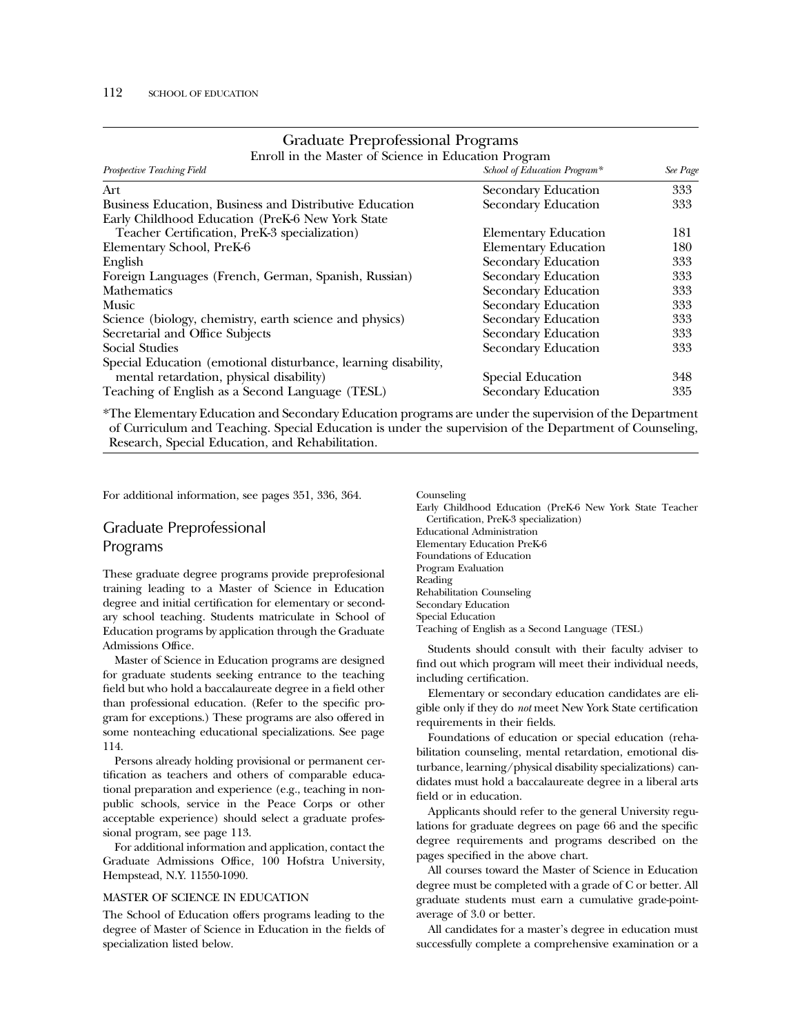| Enroll in the Master of Science in Education Program<br>School of Education Program*<br>See Page |
|--------------------------------------------------------------------------------------------------|
|                                                                                                  |
| 333<br>Secondary Education                                                                       |
| 333<br><b>Secondary Education</b>                                                                |
|                                                                                                  |
| 181<br><b>Elementary Education</b>                                                               |
| 180<br><b>Elementary Education</b>                                                               |
| Secondary Education<br>333                                                                       |
| Secondary Education<br>333                                                                       |
| Secondary Education<br>333                                                                       |
| Secondary Education<br>333                                                                       |
| Secondary Education<br>333                                                                       |
| <b>Secondary Education</b><br>333                                                                |
| Secondary Education<br>333                                                                       |
|                                                                                                  |
| Special Education<br>348                                                                         |
| Secondary Education<br>335                                                                       |
|                                                                                                  |

# Graduate Preprofessional Programs

\*The Elementary Education and Secondary Education programs are under the supervision of the Department of Curriculum and Teaching. Special Education is under the supervision of the Department of Counseling, Research, Special Education, and Rehabilitation.

For additional information, see pages 351, 336, 364.

## Graduate Preprofessional Programs

These graduate degree programs provide preprofesional training leading to a Master of Science in Education degree and initial certification for elementary or secondary school teaching. Students matriculate in School of Education programs by application through the Graduate Admissions Office.

Master of Science in Education programs are designed for graduate students seeking entrance to the teaching field but who hold a baccalaureate degree in a field other than professional education. (Refer to the specific program for exceptions.) These programs are also offered in some nonteaching educational specializations. See page 114.

Persons already holding provisional or permanent certification as teachers and others of comparable educational preparation and experience (e.g., teaching in nonpublic schools, service in the Peace Corps or other acceptable experience) should select a graduate professional program, see page 113.

For additional information and application, contact the Graduate Admissions Office, 100 Hofstra University, Hempstead, N.Y. 11550-1090.

#### MASTER OF SCIENCE IN EDUCATION

The School of Education offers programs leading to the degree of Master of Science in Education in the fields of specialization listed below.

Counseling

- Early Childhood Education (PreK-6 New York State Teacher Certification, PreK-3 specialization)
- Educational Administration Elementary Education PreK-6 Foundations of Education Program Evaluation Reading Rehabilitation Counseling Secondary Education Special Education

Teaching of English as a Second Language (TESL)

Students should consult with their faculty adviser to find out which program will meet their individual needs, including certification.

Elementary or secondary education candidates are eligible only if they do *not* meet New York State certification requirements in their fields.

Foundations of education or special education (rehabilitation counseling, mental retardation, emotional disturbance, learning/physical disability specializations) candidates must hold a baccalaureate degree in a liberal arts field or in education.

Applicants should refer to the general University regulations for graduate degrees on page 66 and the specific degree requirements and programs described on the pages specified in the above chart.

All courses toward the Master of Science in Education degree must be completed with a grade of C or better. All graduate students must earn a cumulative grade-pointaverage of 3.0 or better.

All candidates for a master's degree in education must successfully complete a comprehensive examination or a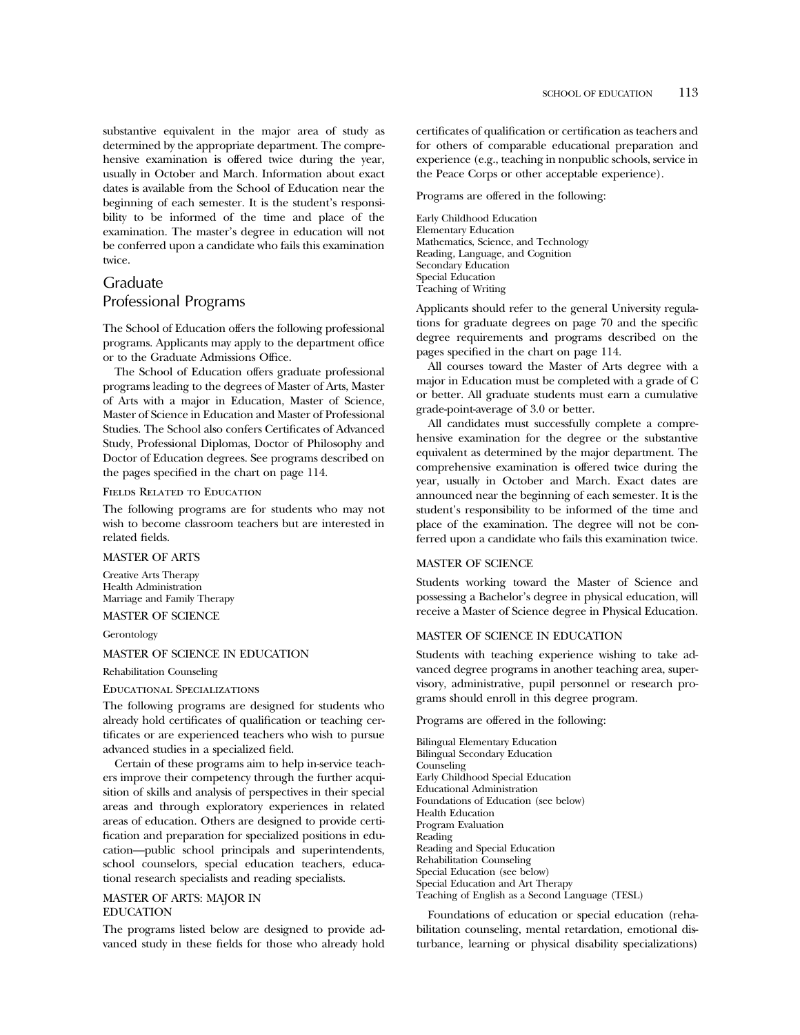substantive equivalent in the major area of study as determined by the appropriate department. The comprehensive examination is offered twice during the year, usually in October and March. Information about exact dates is available from the School of Education near the beginning of each semester. It is the student's responsibility to be informed of the time and place of the examination. The master's degree in education will not be conferred upon a candidate who fails this examination twice.

## Graduate Professional Programs

The School of Education offers the following professional programs. Applicants may apply to the department office or to the Graduate Admissions Office.

The School of Education offers graduate professional programs leading to the degrees of Master of Arts, Master of Arts with a major in Education, Master of Science, Master of Science in Education and Master of Professional Studies. The School also confers Certificates of Advanced Study, Professional Diplomas, Doctor of Philosophy and Doctor of Education degrees. See programs described on the pages specified in the chart on page 114.

#### Fields Related to Education

The following programs are for students who may not wish to become classroom teachers but are interested in related fields.

#### MASTER OF ARTS

Creative Arts Therapy Health Administration Marriage and Family Therapy MASTER OF SCIENCE

Gerontology

#### MASTER OF SCIENCE IN EDUCATION

Rehabilitation Counseling

Educational Specializations

The following programs are designed for students who already hold certificates of qualification or teaching certificates or are experienced teachers who wish to pursue advanced studies in a specialized field.

Certain of these programs aim to help in-service teachers improve their competency through the further acquisition of skills and analysis of perspectives in their special areas and through exploratory experiences in related areas of education. Others are designed to provide certification and preparation for specialized positions in education—public school principals and superintendents, school counselors, special education teachers, educational research specialists and reading specialists.

#### MASTER OF ARTS: MAJOR IN EDUCATION

The programs listed below are designed to provide advanced study in these fields for those who already hold

certificates of qualification or certification as teachers and for others of comparable educational preparation and experience (e.g., teaching in nonpublic schools, service in the Peace Corps or other acceptable experience).

Programs are offered in the following:

Early Childhood Education Elementary Education Mathematics, Science, and Technology Reading, Language, and Cognition Secondary Education Special Education Teaching of Writing

Applicants should refer to the general University regulations for graduate degrees on page 70 and the specific degree requirements and programs described on the pages specified in the chart on page 114.

All courses toward the Master of Arts degree with a major in Education must be completed with a grade of C or better. All graduate students must earn a cumulative grade-point-average of 3.0 or better.

All candidates must successfully complete a comprehensive examination for the degree or the substantive equivalent as determined by the major department. The comprehensive examination is offered twice during the year, usually in October and March. Exact dates are announced near the beginning of each semester. It is the student's responsibility to be informed of the time and place of the examination. The degree will not be conferred upon a candidate who fails this examination twice.

#### MASTER OF SCIENCE

Students working toward the Master of Science and possessing a Bachelor's degree in physical education, will receive a Master of Science degree in Physical Education.

#### MASTER OF SCIENCE IN EDUCATION

Students with teaching experience wishing to take advanced degree programs in another teaching area, supervisory, administrative, pupil personnel or research programs should enroll in this degree program.

Programs are offered in the following:

Bilingual Elementary Education Bilingual Secondary Education Counseling Early Childhood Special Education Educational Administration Foundations of Education (see below) Health Education Program Evaluation Reading Reading and Special Education Rehabilitation Counseling Special Education (see below) Special Education and Art Therapy Teaching of English as a Second Language (TESL)

Foundations of education or special education (rehabilitation counseling, mental retardation, emotional disturbance, learning or physical disability specializations)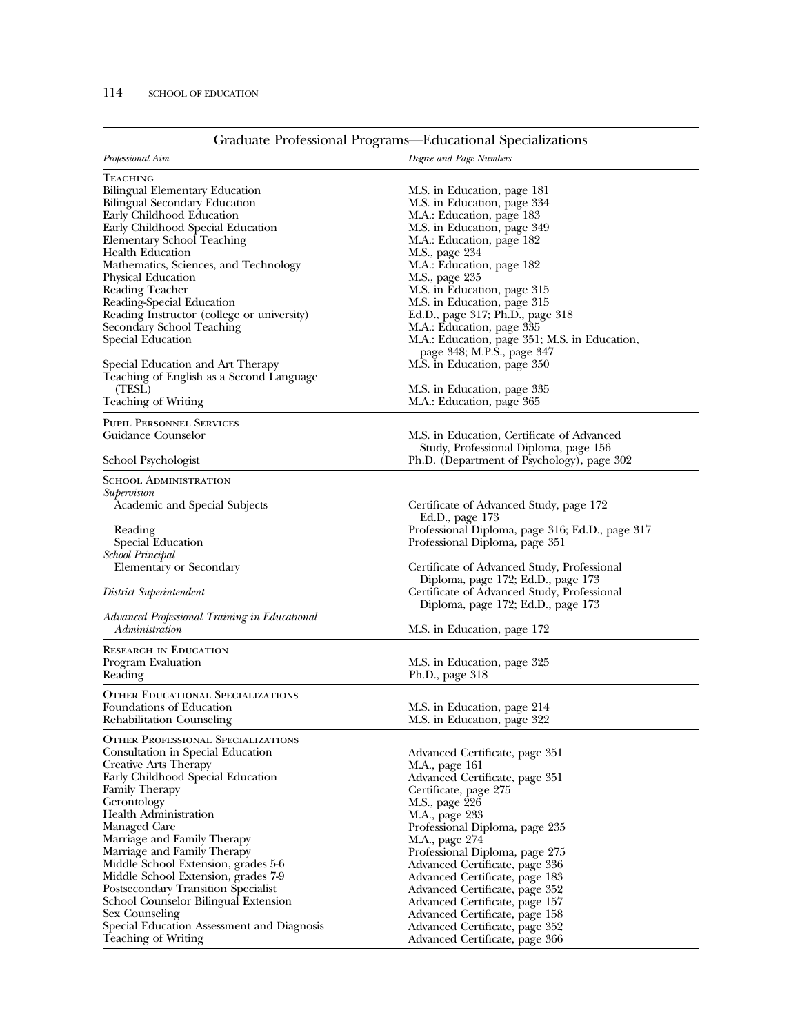## 114 SCHOOL OF EDUCATION

| Professional Aim                                                                                                                                                                                                                                                                                                                                                                                                                                                                                                                                              | Degree and Page Numbers                                                                                                                                                                                                                                                                                                                                                                                                                                                             |
|---------------------------------------------------------------------------------------------------------------------------------------------------------------------------------------------------------------------------------------------------------------------------------------------------------------------------------------------------------------------------------------------------------------------------------------------------------------------------------------------------------------------------------------------------------------|-------------------------------------------------------------------------------------------------------------------------------------------------------------------------------------------------------------------------------------------------------------------------------------------------------------------------------------------------------------------------------------------------------------------------------------------------------------------------------------|
| Teaching<br><b>Bilingual Elementary Education</b><br><b>Bilingual Secondary Education</b><br>Early Childhood Education<br>Early Childhood Special Education<br><b>Elementary School Teaching</b><br><b>Health Education</b><br>Mathematics, Sciences, and Technology<br>Physical Education<br>Reading Teacher<br>Reading-Special Education<br>Reading Instructor (college or university)<br>Secondary School Teaching<br>Special Education<br>Special Education and Art Therapy                                                                               | M.S. in Education, page 181<br>M.S. in Education, page 334<br>M.A.: Education, page 183<br>M.S. in Education, page 349<br>M.A.: Education, page 182<br>M.S., page 234<br>M.A.: Education, page 182<br>M.S., page 235<br>M.S. in Education, page 315<br>M.S. in Education, page 315<br>Ed.D., page 317; Ph.D., page 318<br>M.A.: Education, page 335<br>M.A.: Education, page 351; M.S. in Education,<br>page 348; M.P.S., page 347<br>M.S. in Education, page 350                   |
| Teaching of English as a Second Language<br>(TESL)<br>Teaching of Writing                                                                                                                                                                                                                                                                                                                                                                                                                                                                                     | M.S. in Education, page 335<br>M.A.: Education, page 365                                                                                                                                                                                                                                                                                                                                                                                                                            |
|                                                                                                                                                                                                                                                                                                                                                                                                                                                                                                                                                               |                                                                                                                                                                                                                                                                                                                                                                                                                                                                                     |
| <b>PUPIL PERSONNEL SERVICES</b><br>Guidance Counselor                                                                                                                                                                                                                                                                                                                                                                                                                                                                                                         | M.S. in Education, Certificate of Advanced<br>Study, Professional Diploma, page 156                                                                                                                                                                                                                                                                                                                                                                                                 |
| School Psychologist                                                                                                                                                                                                                                                                                                                                                                                                                                                                                                                                           | Ph.D. (Department of Psychology), page 302                                                                                                                                                                                                                                                                                                                                                                                                                                          |
| <b>SCHOOL ADMINISTRATION</b><br>Supervision<br>Academic and Special Subjects                                                                                                                                                                                                                                                                                                                                                                                                                                                                                  | Certificate of Advanced Study, page 172<br>Ed.D., page 173                                                                                                                                                                                                                                                                                                                                                                                                                          |
| Reading<br>Special Education<br>School Principal                                                                                                                                                                                                                                                                                                                                                                                                                                                                                                              | Professional Diploma, page 316; Ed.D., page 317<br>Professional Diploma, page 351                                                                                                                                                                                                                                                                                                                                                                                                   |
| Elementary or Secondary<br>District Superintendent                                                                                                                                                                                                                                                                                                                                                                                                                                                                                                            | Certificate of Advanced Study, Professional<br>Diploma, page 172; Ed.D., page 173<br>Certificate of Advanced Study, Professional                                                                                                                                                                                                                                                                                                                                                    |
| Advanced Professional Training in Educational<br>Administration                                                                                                                                                                                                                                                                                                                                                                                                                                                                                               | Diploma, page 172; Ed.D., page 173<br>M.S. in Education, page 172                                                                                                                                                                                                                                                                                                                                                                                                                   |
| <b>RESEARCH IN EDUCATION</b><br>Program Evaluation<br>Reading                                                                                                                                                                                                                                                                                                                                                                                                                                                                                                 | M.S. in Education, page 325<br>Ph.D., page 318                                                                                                                                                                                                                                                                                                                                                                                                                                      |
| <b>OTHER EDUCATIONAL SPECIALIZATIONS</b><br>Foundations of Education<br>Rehabilitation Counseling                                                                                                                                                                                                                                                                                                                                                                                                                                                             | M.S. in Education, page 214<br>M.S. in Education, page 322                                                                                                                                                                                                                                                                                                                                                                                                                          |
| <b>OTHER PROFESSIONAL SPECIALIZATIONS</b><br>Consultation in Special Education<br><b>Creative Arts Therapy</b><br>Early Childhood Special Education<br><b>Family Therapy</b><br>Gerontology<br><b>Health Administration</b><br>Managed Care<br>Marriage and Family Therapy<br>Marriage and Family Therapy<br>Middle School Extension, grades 5-6<br>Middle School Extension, grades 7-9<br>Postsecondary Transition Specialist<br>School Counselor Bilingual Extension<br>Sex Counseling<br>Special Education Assessment and Diagnosis<br>Teaching of Writing | Advanced Certificate, page 351<br>M.A., page 161<br>Advanced Certificate, page 351<br>Certificate, page 275<br>M.S., page 226<br>M.A., page 233<br>Professional Diploma, page 235<br>M.A., page 274<br>Professional Diploma, page 275<br>Advanced Certificate, page 336<br>Advanced Certificate, page 183<br>Advanced Certificate, page 352<br>Advanced Certificate, page 157<br>Advanced Certificate, page 158<br>Advanced Certificate, page 352<br>Advanced Certificate, page 366 |

## Graduate Professional Programs—Educational Specializations